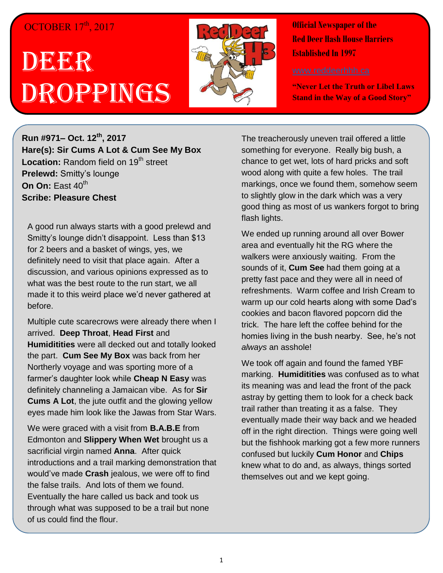## OCTOBER 17<sup>th</sup>, 2017

## DEERR Droppings



**Official Newspaper of the Red Deer Hash House Harriers Established In 1997** 

**"Never Let the Truth or Libel Laws Stand in the Way of a Good Story"**

**Run #971– Oct. 12th , 2017 Hare(s): Sir Cums A Lot & Cum See My Box** Location: Random field on 19<sup>th</sup> street **Prelewd:** Smitty's lounge **On On:** East 40<sup>th</sup> **Scribe: Pleasure Chest**

A good run always starts with a good prelewd and Smitty's lounge didn't disappoint. Less than \$13 for 2 beers and a basket of wings, yes, we definitely need to visit that place again. After a discussion, and various opinions expressed as to what was the best route to the run start, we all made it to this weird place we'd never gathered at before.

Multiple cute scarecrows were already there when I arrived. **Deep Throat**, **Head First** and **Humiditities** were all decked out and totally looked the part. **Cum See My Box** was back from her Northerly voyage and was sporting more of a farmer's daughter look while **Cheap N Easy** was definitely channeling a Jamaican vibe. As for **Sir Cums A Lot**, the jute outfit and the glowing yellow eyes made him look like the Jawas from Star Wars.

We were graced with a visit from **B.A.B.E** from Edmonton and **Slippery When Wet** brought us a sacrificial virgin named **Anna**. After quick introductions and a trail marking demonstration that would've made **Crash** jealous, we were off to find the false trails. And lots of them we found. Eventually the hare called us back and took us through what was supposed to be a trail but none of us could find the flour.

The treacherously uneven trail offered a little something for everyone. Really big bush, a chance to get wet, lots of hard pricks and soft wood along with quite a few holes. The trail markings, once we found them, somehow seem to slightly glow in the dark which was a very good thing as most of us wankers forgot to bring flash lights.

We ended up running around all over Bower area and eventually hit the RG where the walkers were anxiously waiting. From the sounds of it, **Cum See** had them going at a pretty fast pace and they were all in need of refreshments. Warm coffee and Irish Cream to warm up our cold hearts along with some Dad's cookies and bacon flavored popcorn did the trick. The hare left the coffee behind for the homies living in the bush nearby. See, he's not *always* an asshole!

We took off again and found the famed YBF marking. **Humiditities** was confused as to what its meaning was and lead the front of the pack astray by getting them to look for a check back trail rather than treating it as a false. They eventually made their way back and we headed off in the right direction. Things were going well but the fishhook marking got a few more runners confused but luckily **Cum Honor** and **Chips** knew what to do and, as always, things sorted themselves out and we kept going.